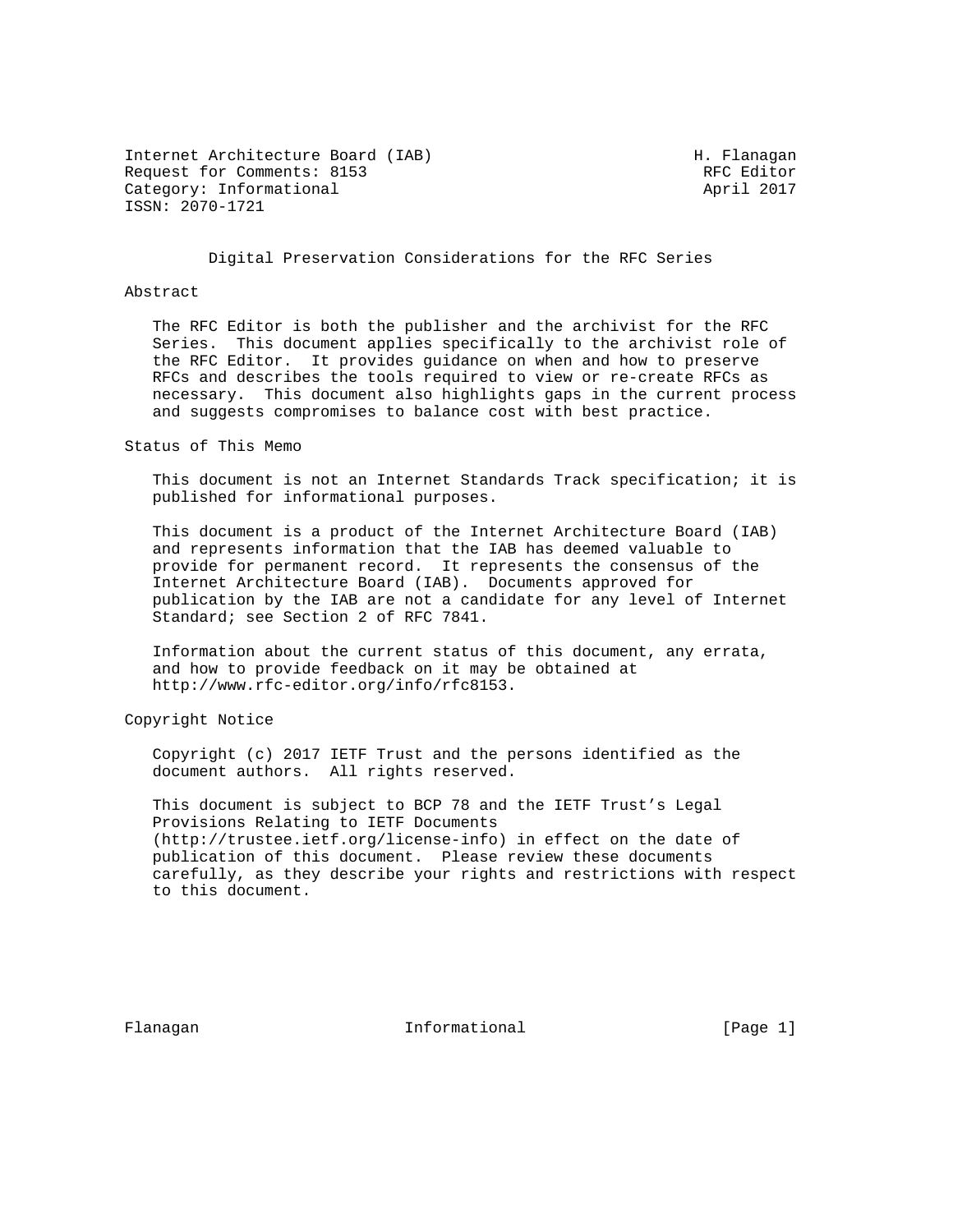Internet Architecture Board (IAB) M. Flanagan Request for Comments: 8153 RFC Editor Category: Informational ISSN: 2070-1721

Digital Preservation Considerations for the RFC Series

## Abstract

 The RFC Editor is both the publisher and the archivist for the RFC Series. This document applies specifically to the archivist role of the RFC Editor. It provides guidance on when and how to preserve RFCs and describes the tools required to view or re-create RFCs as necessary. This document also highlights gaps in the current process and suggests compromises to balance cost with best practice.

Status of This Memo

 This document is not an Internet Standards Track specification; it is published for informational purposes.

 This document is a product of the Internet Architecture Board (IAB) and represents information that the IAB has deemed valuable to provide for permanent record. It represents the consensus of the Internet Architecture Board (IAB). Documents approved for publication by the IAB are not a candidate for any level of Internet Standard; see Section 2 of RFC 7841.

 Information about the current status of this document, any errata, and how to provide feedback on it may be obtained at http://www.rfc-editor.org/info/rfc8153.

Copyright Notice

 Copyright (c) 2017 IETF Trust and the persons identified as the document authors. All rights reserved.

 This document is subject to BCP 78 and the IETF Trust's Legal Provisions Relating to IETF Documents (http://trustee.ietf.org/license-info) in effect on the date of publication of this document. Please review these documents carefully, as they describe your rights and restrictions with respect to this document.

Flanagan 11 Informational 1999 [Page 1]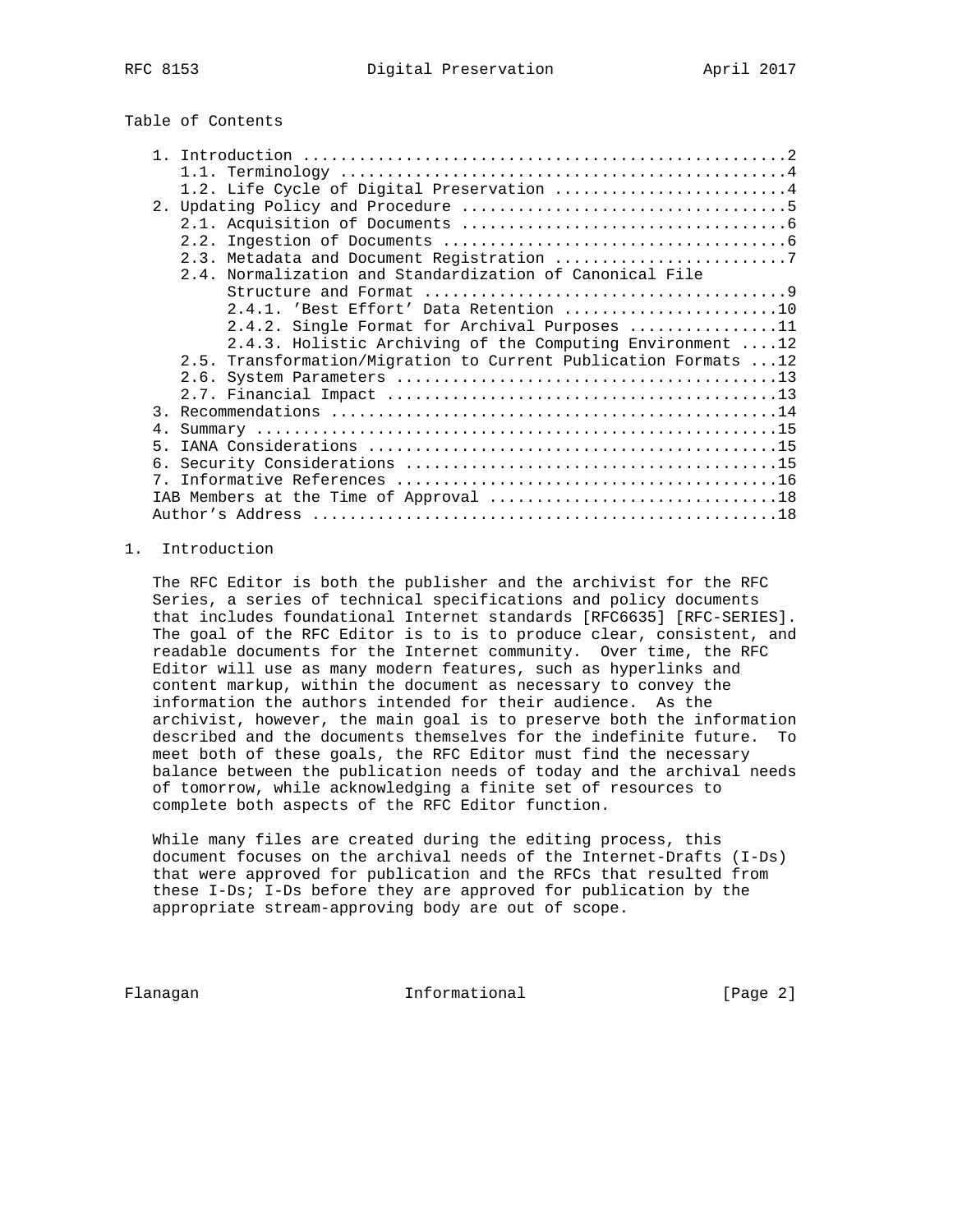# Table of Contents

|               | 1.2. Life Cycle of Digital Preservation 4                       |
|---------------|-----------------------------------------------------------------|
|               |                                                                 |
|               |                                                                 |
|               |                                                                 |
|               | 2.3. Metadata and Document Registration 7                       |
|               | 2.4. Normalization and Standardization of Canonical File        |
|               |                                                                 |
|               | $2.4.1.$ 'Best Effort' Data Retention 10                        |
|               | 2.4.2. Single Format for Archival Purposes 11                   |
|               | 2.4.3. Holistic Archiving of the Computing Environment 12       |
|               | 2.5. Transformation/Migration to Current Publication Formats 12 |
|               |                                                                 |
|               |                                                                 |
| $\mathcal{R}$ |                                                                 |
| 4.            |                                                                 |
| 5.            |                                                                 |
| б.            |                                                                 |
| $7^{\circ}$   |                                                                 |
|               |                                                                 |
|               |                                                                 |

## 1. Introduction

 The RFC Editor is both the publisher and the archivist for the RFC Series, a series of technical specifications and policy documents that includes foundational Internet standards [RFC6635] [RFC-SERIES]. The goal of the RFC Editor is to is to produce clear, consistent, and readable documents for the Internet community. Over time, the RFC Editor will use as many modern features, such as hyperlinks and content markup, within the document as necessary to convey the information the authors intended for their audience. As the archivist, however, the main goal is to preserve both the information described and the documents themselves for the indefinite future. To meet both of these goals, the RFC Editor must find the necessary balance between the publication needs of today and the archival needs of tomorrow, while acknowledging a finite set of resources to complete both aspects of the RFC Editor function.

 While many files are created during the editing process, this document focuses on the archival needs of the Internet-Drafts (I-Ds) that were approved for publication and the RFCs that resulted from these I-Ds; I-Ds before they are approved for publication by the appropriate stream-approving body are out of scope.

Flanagan 10 Informational 1999 [Page 2]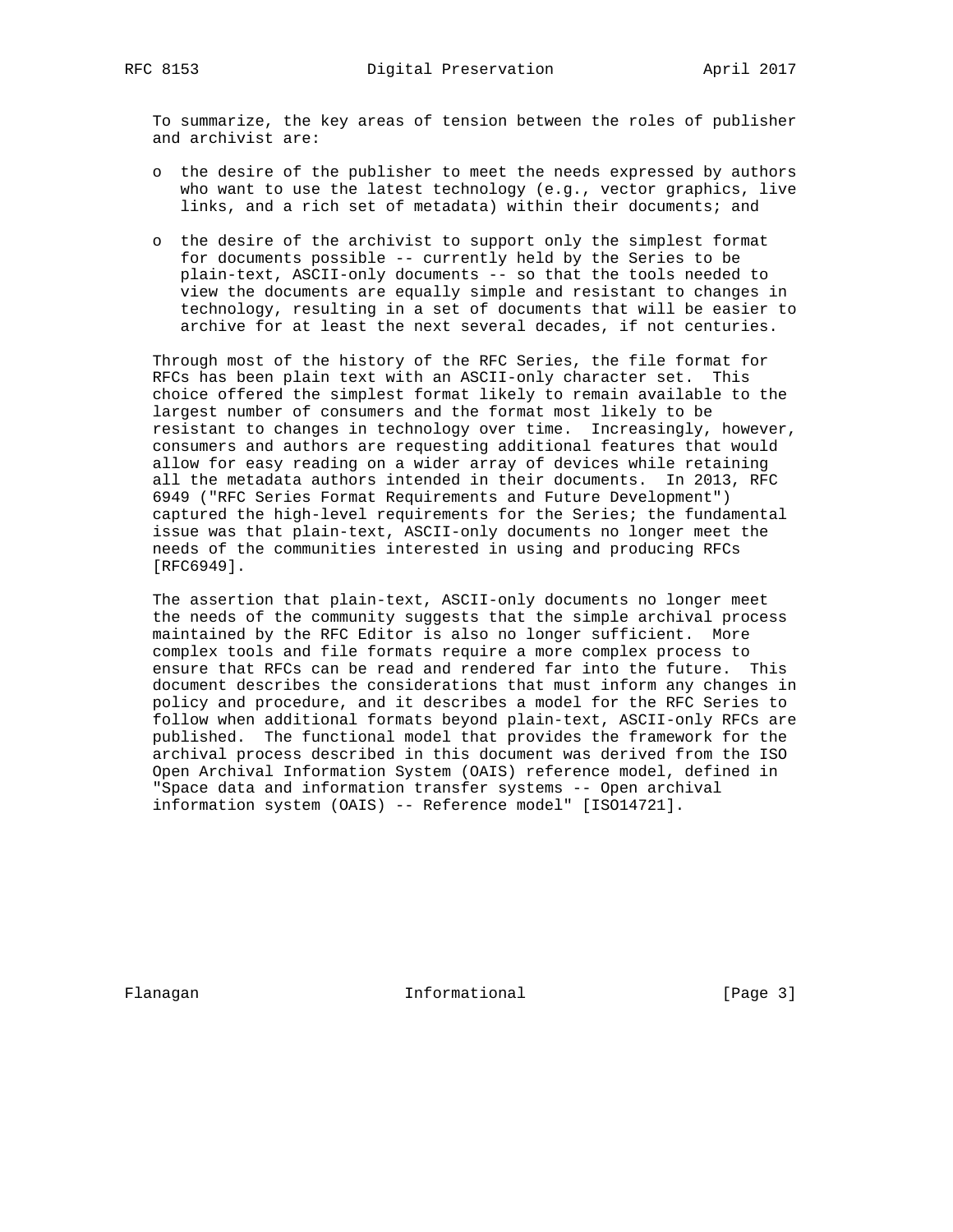To summarize, the key areas of tension between the roles of publisher and archivist are:

- o the desire of the publisher to meet the needs expressed by authors who want to use the latest technology (e.g., vector graphics, live links, and a rich set of metadata) within their documents; and
- o the desire of the archivist to support only the simplest format for documents possible -- currently held by the Series to be plain-text, ASCII-only documents -- so that the tools needed to view the documents are equally simple and resistant to changes in technology, resulting in a set of documents that will be easier to archive for at least the next several decades, if not centuries.

 Through most of the history of the RFC Series, the file format for RFCs has been plain text with an ASCII-only character set. This choice offered the simplest format likely to remain available to the largest number of consumers and the format most likely to be resistant to changes in technology over time. Increasingly, however, consumers and authors are requesting additional features that would allow for easy reading on a wider array of devices while retaining all the metadata authors intended in their documents. In 2013, RFC 6949 ("RFC Series Format Requirements and Future Development") captured the high-level requirements for the Series; the fundamental issue was that plain-text, ASCII-only documents no longer meet the needs of the communities interested in using and producing RFCs [RFC6949].

 The assertion that plain-text, ASCII-only documents no longer meet the needs of the community suggests that the simple archival process maintained by the RFC Editor is also no longer sufficient. More complex tools and file formats require a more complex process to ensure that RFCs can be read and rendered far into the future. This document describes the considerations that must inform any changes in policy and procedure, and it describes a model for the RFC Series to follow when additional formats beyond plain-text, ASCII-only RFCs are published. The functional model that provides the framework for the archival process described in this document was derived from the ISO Open Archival Information System (OAIS) reference model, defined in "Space data and information transfer systems -- Open archival information system (OAIS) -- Reference model" [ISO14721].

Flanagan 11 Informational 1996 [Page 3]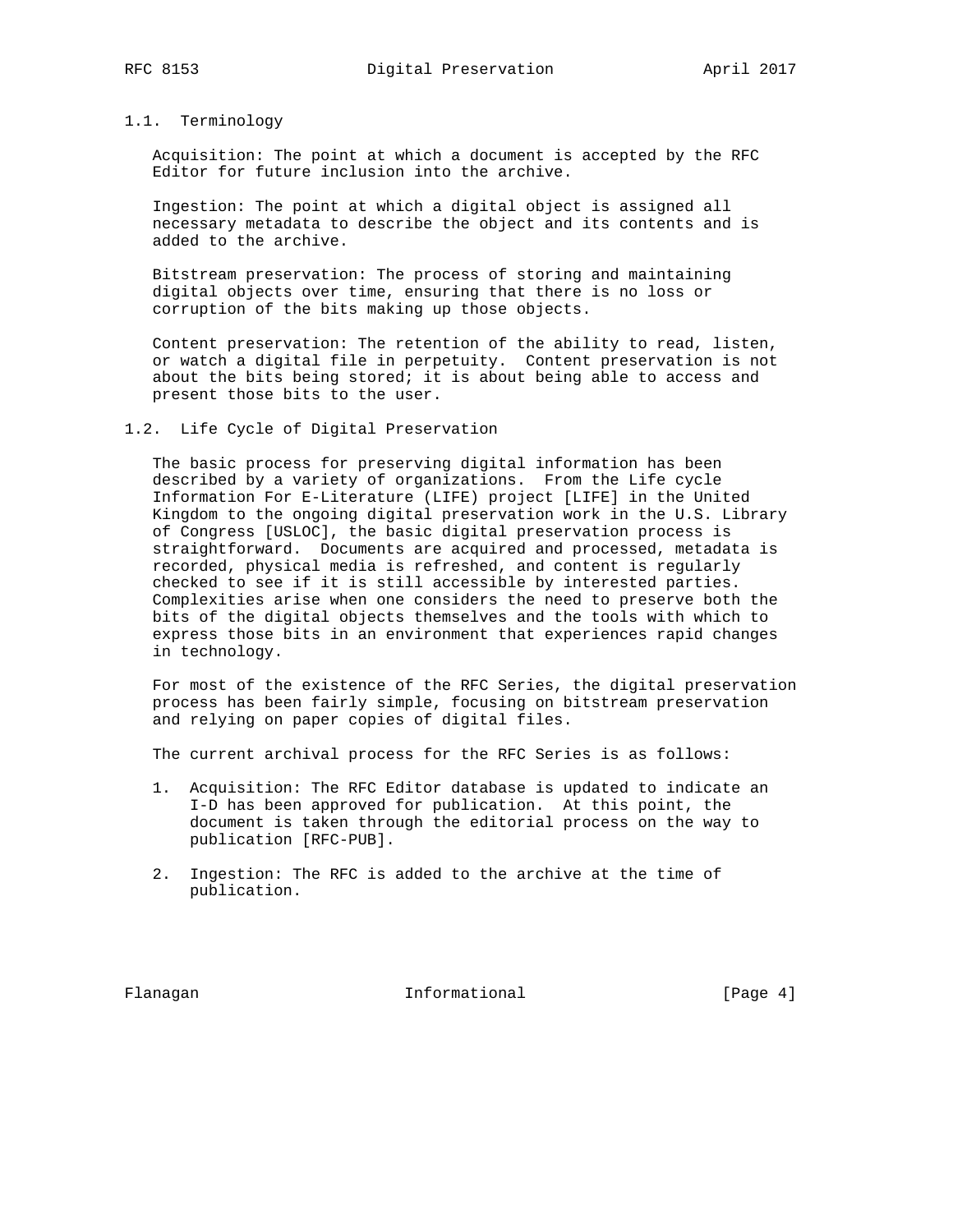### 1.1. Terminology

 Acquisition: The point at which a document is accepted by the RFC Editor for future inclusion into the archive.

 Ingestion: The point at which a digital object is assigned all necessary metadata to describe the object and its contents and is added to the archive.

 Bitstream preservation: The process of storing and maintaining digital objects over time, ensuring that there is no loss or corruption of the bits making up those objects.

 Content preservation: The retention of the ability to read, listen, or watch a digital file in perpetuity. Content preservation is not about the bits being stored; it is about being able to access and present those bits to the user.

## 1.2. Life Cycle of Digital Preservation

 The basic process for preserving digital information has been described by a variety of organizations. From the Life cycle Information For E-Literature (LIFE) project [LIFE] in the United Kingdom to the ongoing digital preservation work in the U.S. Library of Congress [USLOC], the basic digital preservation process is straightforward. Documents are acquired and processed, metadata is recorded, physical media is refreshed, and content is regularly checked to see if it is still accessible by interested parties. Complexities arise when one considers the need to preserve both the bits of the digital objects themselves and the tools with which to express those bits in an environment that experiences rapid changes in technology.

 For most of the existence of the RFC Series, the digital preservation process has been fairly simple, focusing on bitstream preservation and relying on paper copies of digital files.

The current archival process for the RFC Series is as follows:

- 1. Acquisition: The RFC Editor database is updated to indicate an I-D has been approved for publication. At this point, the document is taken through the editorial process on the way to publication [RFC-PUB].
- 2. Ingestion: The RFC is added to the archive at the time of publication.

Flanagan **Informational** Informational [Page 4]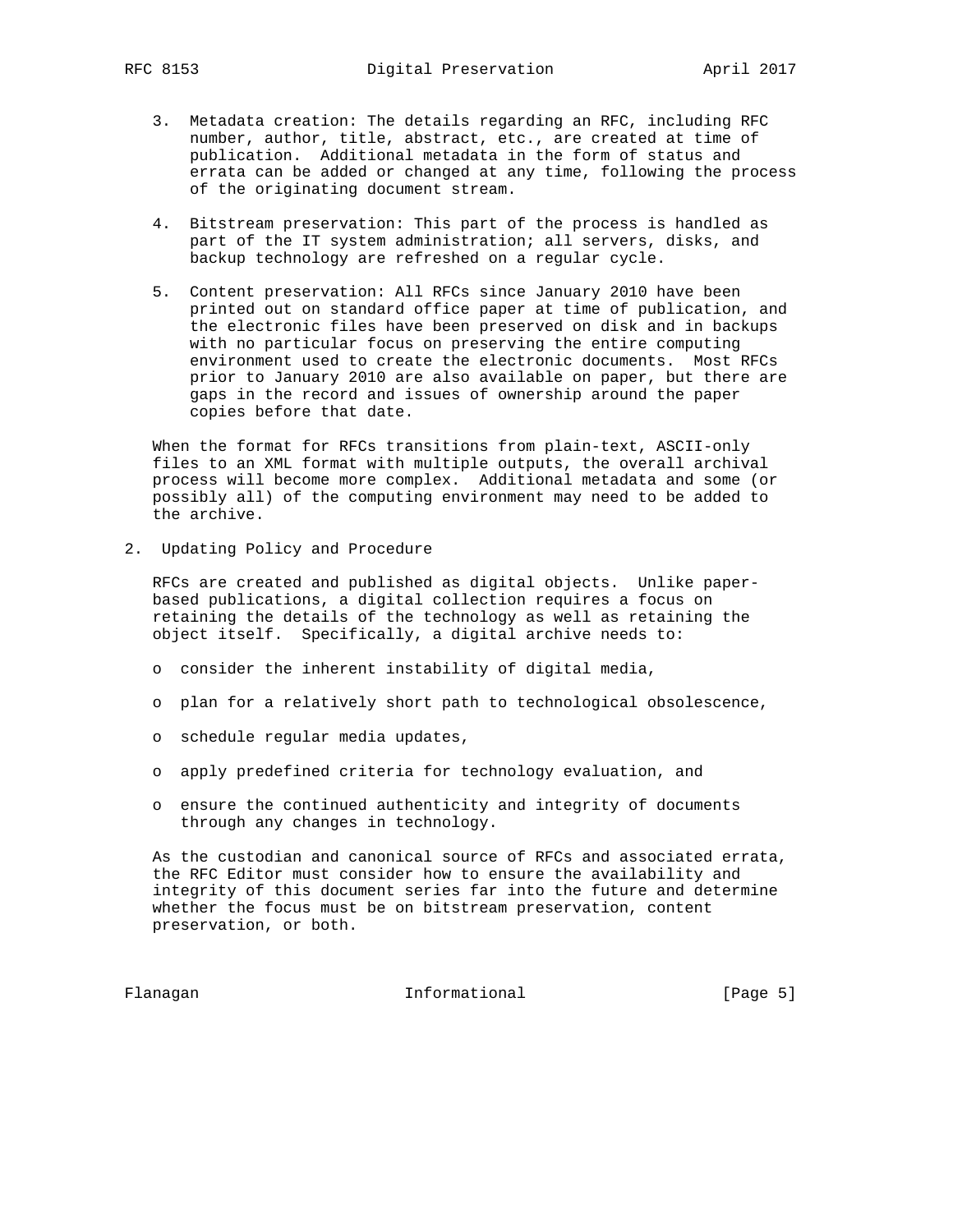- 3. Metadata creation: The details regarding an RFC, including RFC number, author, title, abstract, etc., are created at time of publication. Additional metadata in the form of status and errata can be added or changed at any time, following the process of the originating document stream.
- 4. Bitstream preservation: This part of the process is handled as part of the IT system administration; all servers, disks, and backup technology are refreshed on a regular cycle.
- 5. Content preservation: All RFCs since January 2010 have been printed out on standard office paper at time of publication, and the electronic files have been preserved on disk and in backups with no particular focus on preserving the entire computing environment used to create the electronic documents. Most RFCs prior to January 2010 are also available on paper, but there are gaps in the record and issues of ownership around the paper copies before that date.

 When the format for RFCs transitions from plain-text, ASCII-only files to an XML format with multiple outputs, the overall archival process will become more complex. Additional metadata and some (or possibly all) of the computing environment may need to be added to the archive.

2. Updating Policy and Procedure

 RFCs are created and published as digital objects. Unlike paper based publications, a digital collection requires a focus on retaining the details of the technology as well as retaining the object itself. Specifically, a digital archive needs to:

- o consider the inherent instability of digital media,
- o plan for a relatively short path to technological obsolescence,
- o schedule regular media updates,
- o apply predefined criteria for technology evaluation, and
- o ensure the continued authenticity and integrity of documents through any changes in technology.

 As the custodian and canonical source of RFCs and associated errata, the RFC Editor must consider how to ensure the availability and integrity of this document series far into the future and determine whether the focus must be on bitstream preservation, content preservation, or both.

Flanagan **Informational** Informational [Page 5]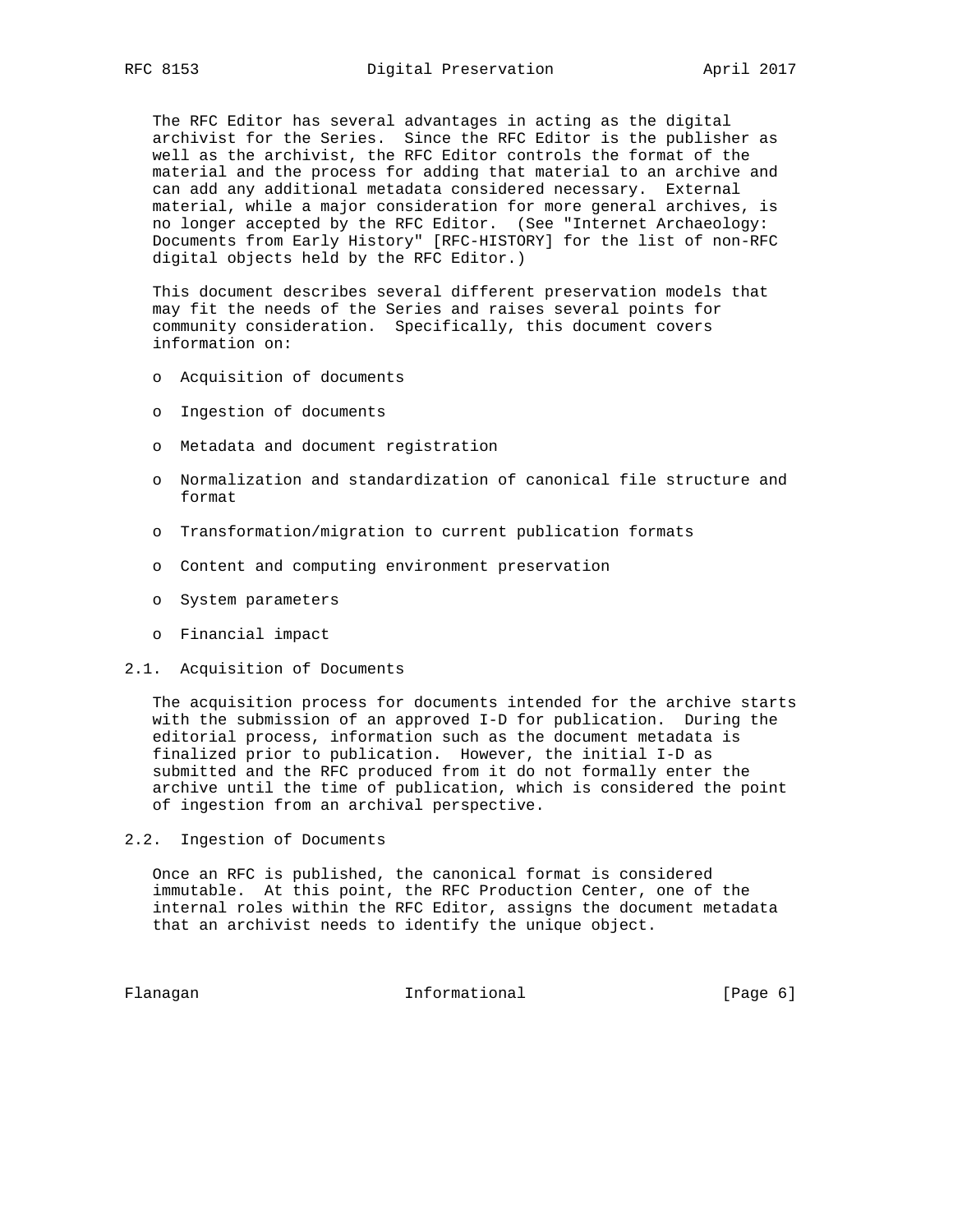The RFC Editor has several advantages in acting as the digital archivist for the Series. Since the RFC Editor is the publisher as well as the archivist, the RFC Editor controls the format of the material and the process for adding that material to an archive and can add any additional metadata considered necessary. External material, while a major consideration for more general archives, is no longer accepted by the RFC Editor. (See "Internet Archaeology: Documents from Early History" [RFC-HISTORY] for the list of non-RFC digital objects held by the RFC Editor.)

 This document describes several different preservation models that may fit the needs of the Series and raises several points for community consideration. Specifically, this document covers information on:

- o Acquisition of documents
- o Ingestion of documents
- o Metadata and document registration
- o Normalization and standardization of canonical file structure and format
- o Transformation/migration to current publication formats
- o Content and computing environment preservation
- o System parameters
- o Financial impact
- 2.1. Acquisition of Documents

 The acquisition process for documents intended for the archive starts with the submission of an approved I-D for publication. During the editorial process, information such as the document metadata is finalized prior to publication. However, the initial I-D as submitted and the RFC produced from it do not formally enter the archive until the time of publication, which is considered the point of ingestion from an archival perspective.

2.2. Ingestion of Documents

 Once an RFC is published, the canonical format is considered immutable. At this point, the RFC Production Center, one of the internal roles within the RFC Editor, assigns the document metadata that an archivist needs to identify the unique object.

Flanagan **Informational** Informational [Page 6]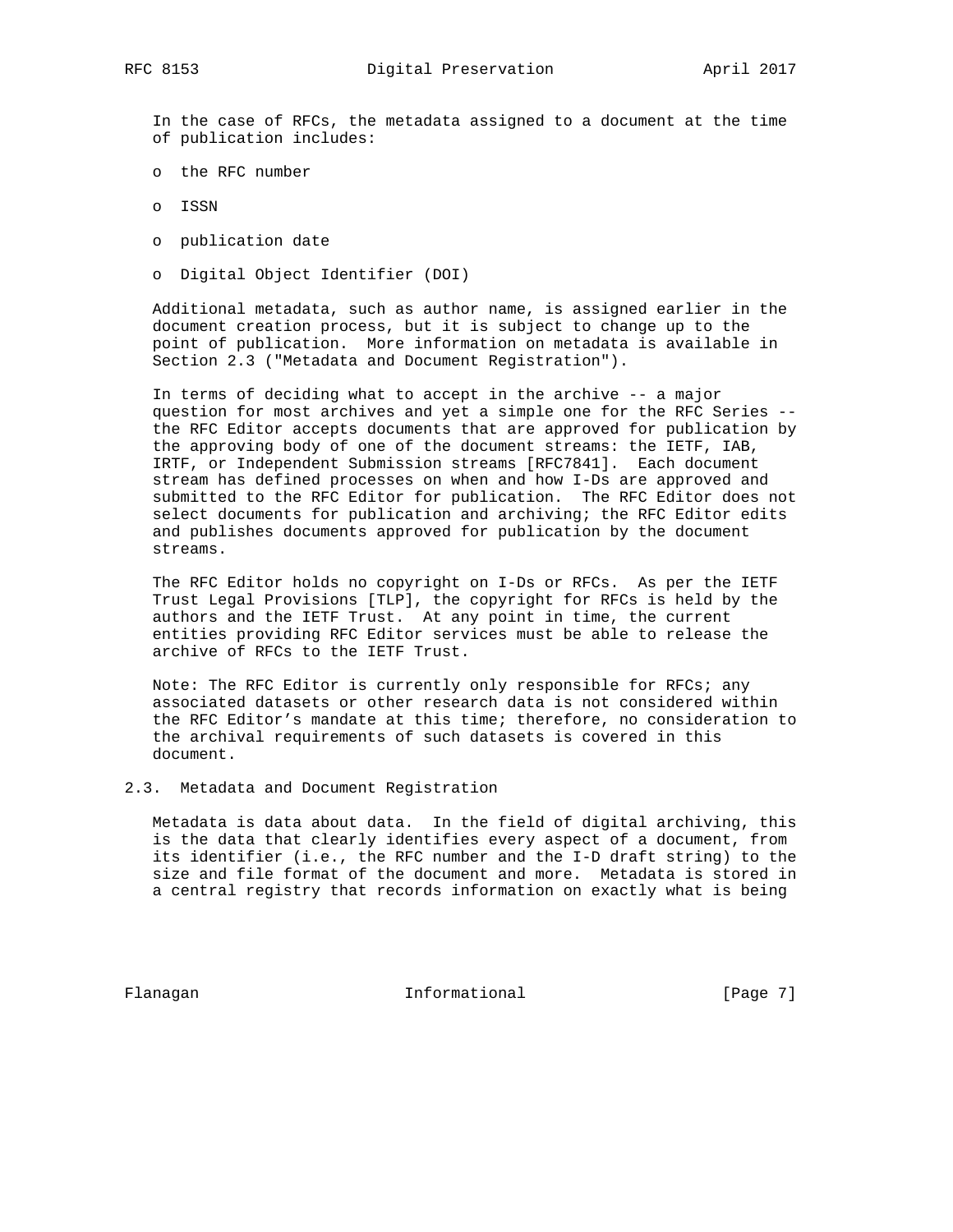In the case of RFCs, the metadata assigned to a document at the time of publication includes:

- o the RFC number
- o ISSN
- o publication date
- o Digital Object Identifier (DOI)

 Additional metadata, such as author name, is assigned earlier in the document creation process, but it is subject to change up to the point of publication. More information on metadata is available in Section 2.3 ("Metadata and Document Registration").

 In terms of deciding what to accept in the archive -- a major question for most archives and yet a simple one for the RFC Series - the RFC Editor accepts documents that are approved for publication by the approving body of one of the document streams: the IETF, IAB, IRTF, or Independent Submission streams [RFC7841]. Each document stream has defined processes on when and how I-Ds are approved and submitted to the RFC Editor for publication. The RFC Editor does not select documents for publication and archiving; the RFC Editor edits and publishes documents approved for publication by the document streams.

 The RFC Editor holds no copyright on I-Ds or RFCs. As per the IETF Trust Legal Provisions [TLP], the copyright for RFCs is held by the authors and the IETF Trust. At any point in time, the current entities providing RFC Editor services must be able to release the archive of RFCs to the IETF Trust.

 Note: The RFC Editor is currently only responsible for RFCs; any associated datasets or other research data is not considered within the RFC Editor's mandate at this time; therefore, no consideration to the archival requirements of such datasets is covered in this document.

## 2.3. Metadata and Document Registration

 Metadata is data about data. In the field of digital archiving, this is the data that clearly identifies every aspect of a document, from its identifier (i.e., the RFC number and the I-D draft string) to the size and file format of the document and more. Metadata is stored in a central registry that records information on exactly what is being

Flanagan **Informational** Informational [Page 7]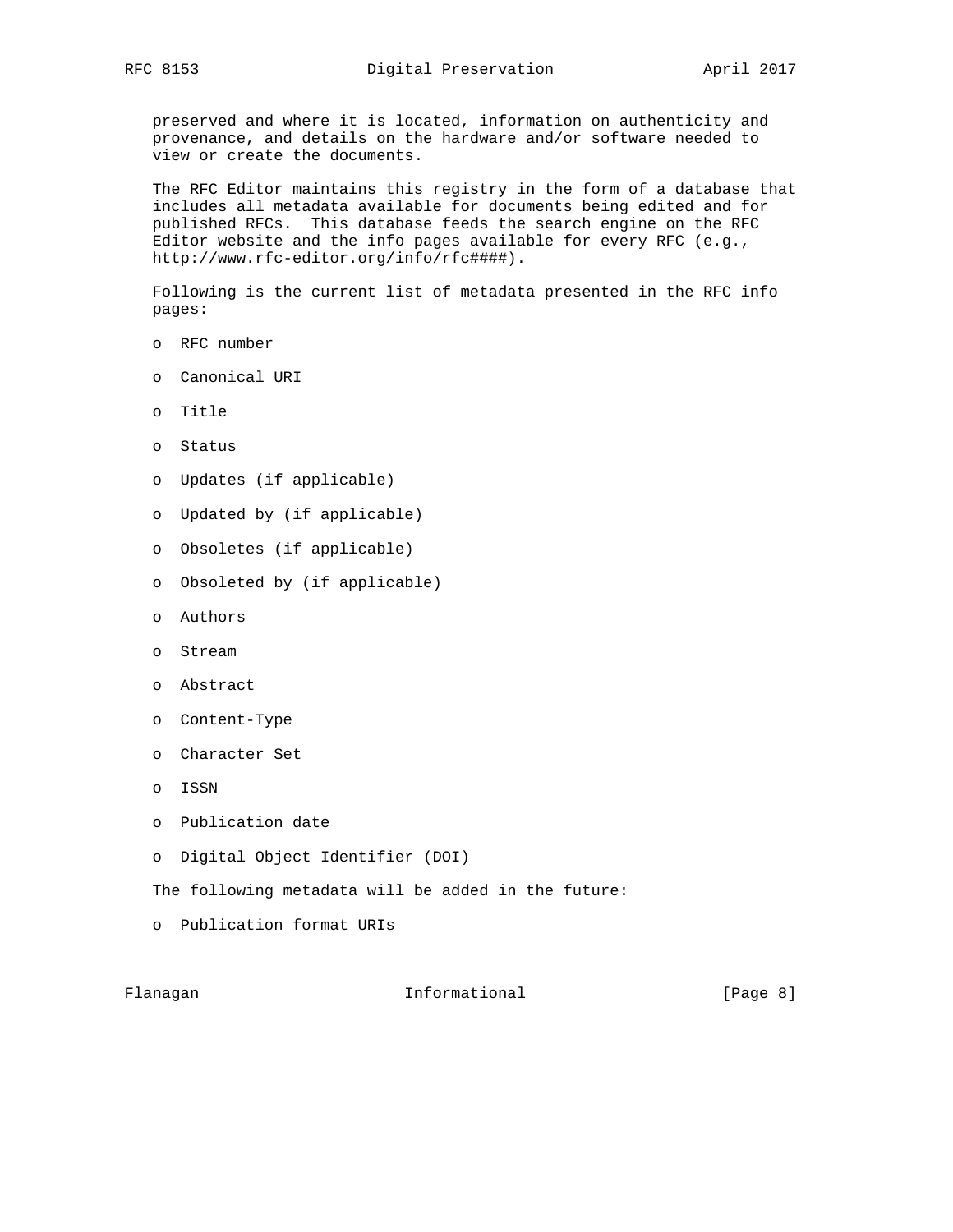preserved and where it is located, information on authenticity and provenance, and details on the hardware and/or software needed to view or create the documents.

 The RFC Editor maintains this registry in the form of a database that includes all metadata available for documents being edited and for published RFCs. This database feeds the search engine on the RFC Editor website and the info pages available for every RFC (e.g., http://www.rfc-editor.org/info/rfc####).

 Following is the current list of metadata presented in the RFC info pages:

- o RFC number
- o Canonical URI
- o Title
- o Status
- o Updates (if applicable)
- o Updated by (if applicable)
- o Obsoletes (if applicable)
- o Obsoleted by (if applicable)
- o Authors
- o Stream
- o Abstract
- o Content-Type
- o Character Set
- o ISSN
- o Publication date
- o Digital Object Identifier (DOI)

The following metadata will be added in the future:

o Publication format URIs

Flanagan **Informational** Informational (Page 8)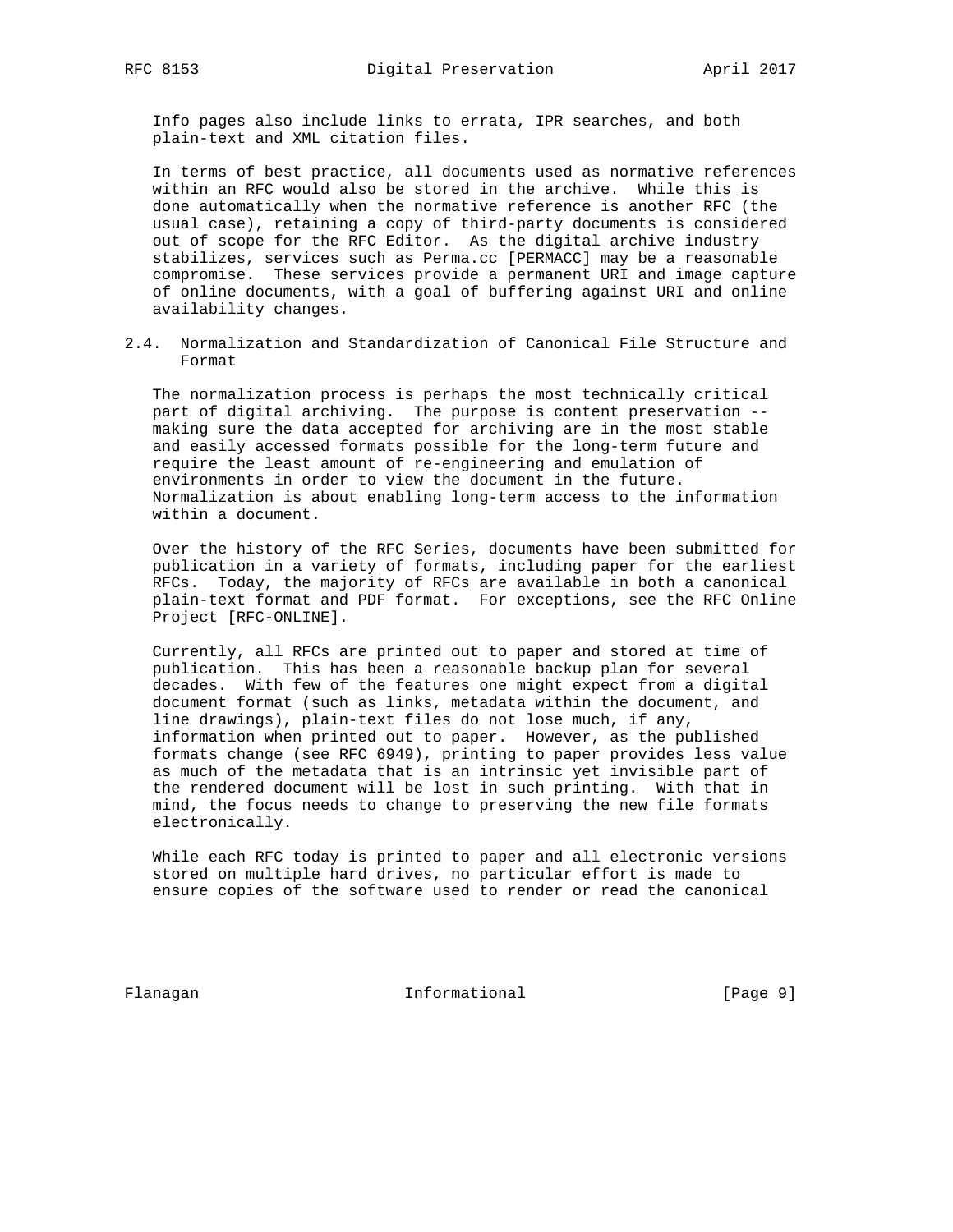Info pages also include links to errata, IPR searches, and both plain-text and XML citation files.

 In terms of best practice, all documents used as normative references within an RFC would also be stored in the archive. While this is done automatically when the normative reference is another RFC (the usual case), retaining a copy of third-party documents is considered out of scope for the RFC Editor. As the digital archive industry stabilizes, services such as Perma.cc [PERMACC] may be a reasonable compromise. These services provide a permanent URI and image capture of online documents, with a goal of buffering against URI and online availability changes.

2.4. Normalization and Standardization of Canonical File Structure and Format

 The normalization process is perhaps the most technically critical part of digital archiving. The purpose is content preservation - making sure the data accepted for archiving are in the most stable and easily accessed formats possible for the long-term future and require the least amount of re-engineering and emulation of environments in order to view the document in the future. Normalization is about enabling long-term access to the information within a document.

 Over the history of the RFC Series, documents have been submitted for publication in a variety of formats, including paper for the earliest RFCs. Today, the majority of RFCs are available in both a canonical plain-text format and PDF format. For exceptions, see the RFC Online Project [RFC-ONLINE].

 Currently, all RFCs are printed out to paper and stored at time of publication. This has been a reasonable backup plan for several decades. With few of the features one might expect from a digital document format (such as links, metadata within the document, and line drawings), plain-text files do not lose much, if any, information when printed out to paper. However, as the published formats change (see RFC 6949), printing to paper provides less value as much of the metadata that is an intrinsic yet invisible part of the rendered document will be lost in such printing. With that in mind, the focus needs to change to preserving the new file formats electronically.

 While each RFC today is printed to paper and all electronic versions stored on multiple hard drives, no particular effort is made to ensure copies of the software used to render or read the canonical

Flanagan **Informational** Informational [Page 9]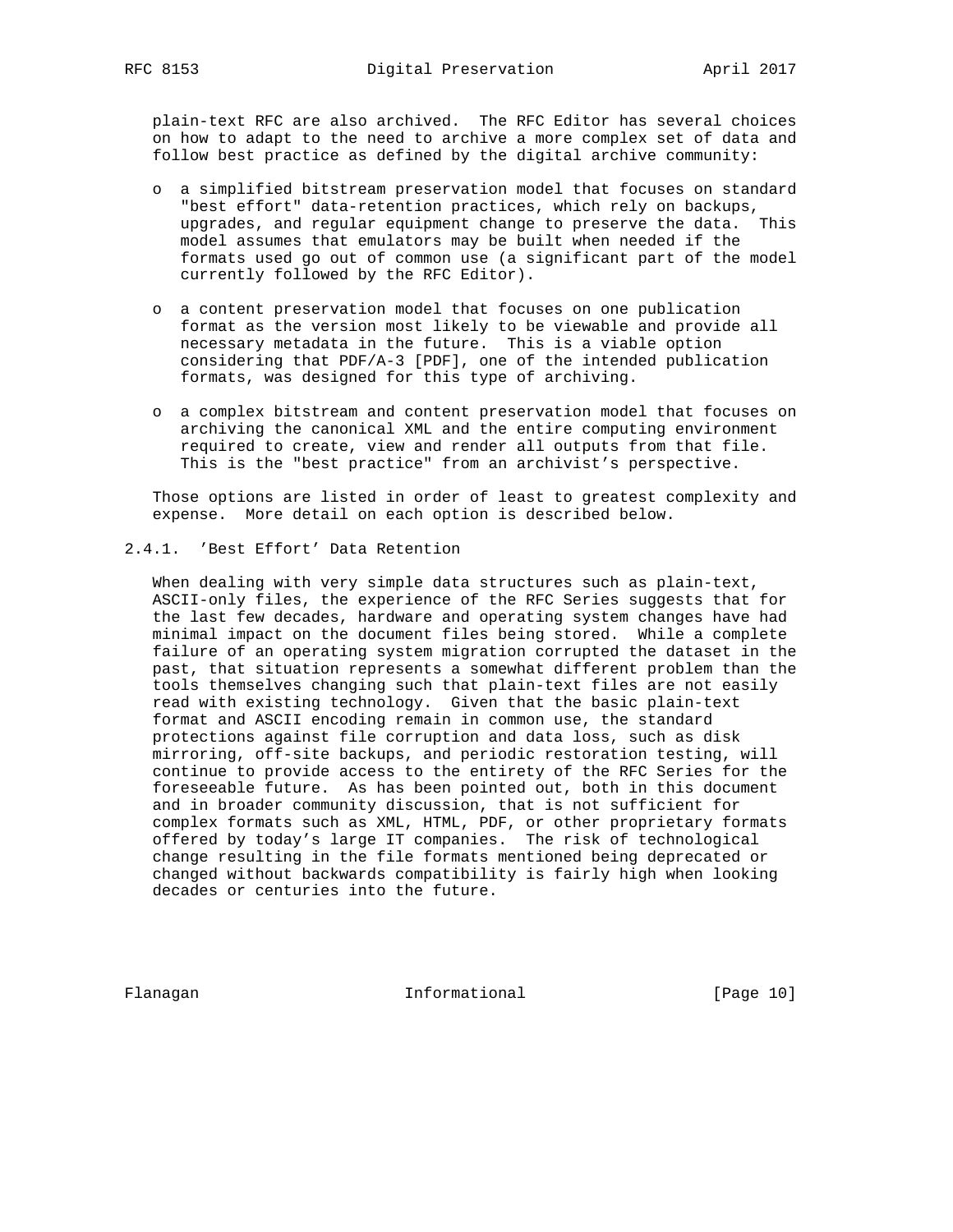plain-text RFC are also archived. The RFC Editor has several choices on how to adapt to the need to archive a more complex set of data and follow best practice as defined by the digital archive community:

- o a simplified bitstream preservation model that focuses on standard "best effort" data-retention practices, which rely on backups, upgrades, and regular equipment change to preserve the data. This model assumes that emulators may be built when needed if the formats used go out of common use (a significant part of the model currently followed by the RFC Editor).
- o a content preservation model that focuses on one publication format as the version most likely to be viewable and provide all necessary metadata in the future. This is a viable option considering that PDF/A-3 [PDF], one of the intended publication formats, was designed for this type of archiving.
- o a complex bitstream and content preservation model that focuses on archiving the canonical XML and the entire computing environment required to create, view and render all outputs from that file. This is the "best practice" from an archivist's perspective.

 Those options are listed in order of least to greatest complexity and expense. More detail on each option is described below.

### 2.4.1. 'Best Effort' Data Retention

 When dealing with very simple data structures such as plain-text, ASCII-only files, the experience of the RFC Series suggests that for the last few decades, hardware and operating system changes have had minimal impact on the document files being stored. While a complete failure of an operating system migration corrupted the dataset in the past, that situation represents a somewhat different problem than the tools themselves changing such that plain-text files are not easily read with existing technology. Given that the basic plain-text format and ASCII encoding remain in common use, the standard protections against file corruption and data loss, such as disk mirroring, off-site backups, and periodic restoration testing, will continue to provide access to the entirety of the RFC Series for the foreseeable future. As has been pointed out, both in this document and in broader community discussion, that is not sufficient for complex formats such as XML, HTML, PDF, or other proprietary formats offered by today's large IT companies. The risk of technological change resulting in the file formats mentioned being deprecated or changed without backwards compatibility is fairly high when looking decades or centuries into the future.

Flanagan 10 Informational [Page 10]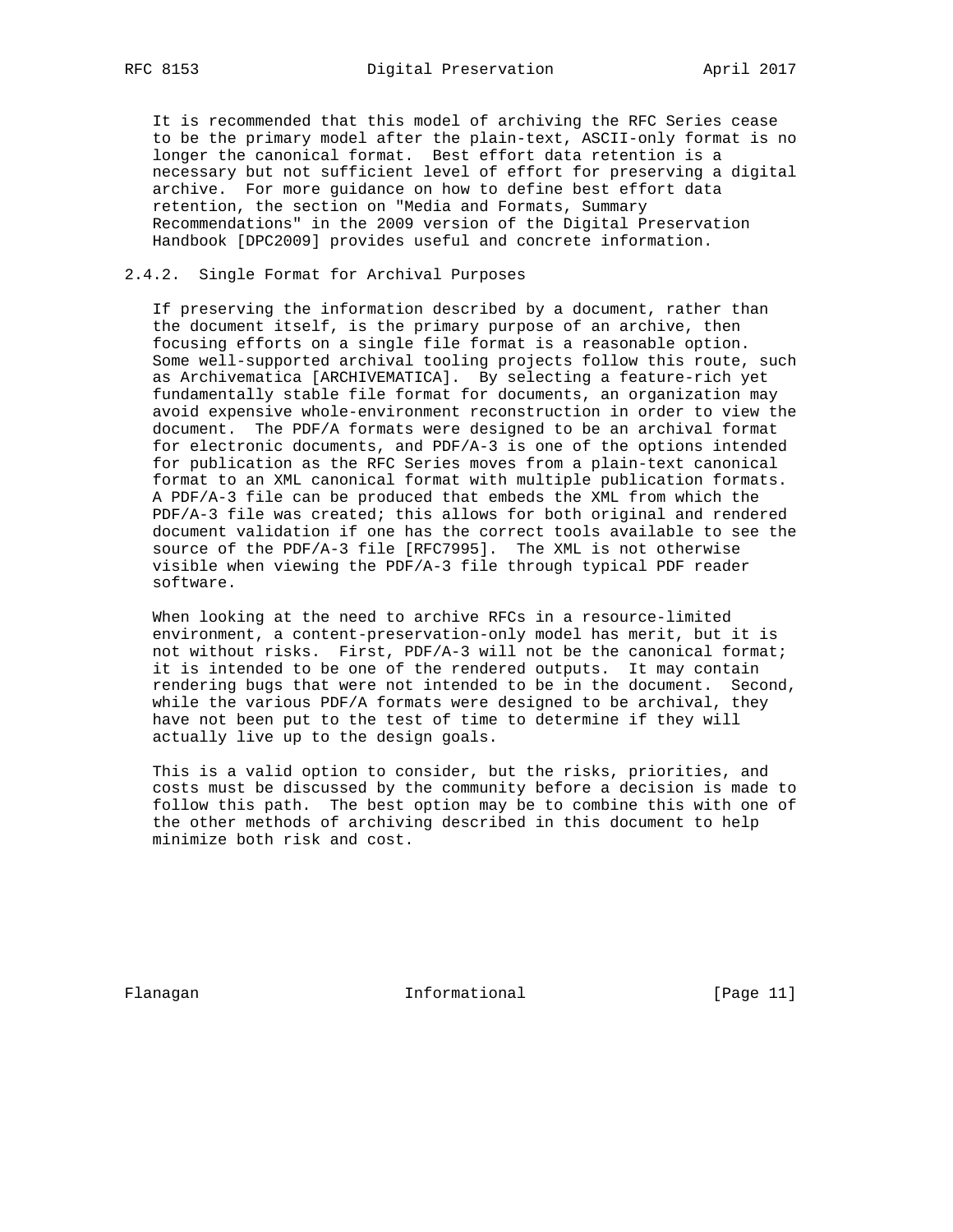It is recommended that this model of archiving the RFC Series cease to be the primary model after the plain-text, ASCII-only format is no longer the canonical format. Best effort data retention is a necessary but not sufficient level of effort for preserving a digital archive. For more guidance on how to define best effort data retention, the section on "Media and Formats, Summary Recommendations" in the 2009 version of the Digital Preservation Handbook [DPC2009] provides useful and concrete information.

## 2.4.2. Single Format for Archival Purposes

 If preserving the information described by a document, rather than the document itself, is the primary purpose of an archive, then focusing efforts on a single file format is a reasonable option. Some well-supported archival tooling projects follow this route, such as Archivematica [ARCHIVEMATICA]. By selecting a feature-rich yet fundamentally stable file format for documents, an organization may avoid expensive whole-environment reconstruction in order to view the document. The PDF/A formats were designed to be an archival format for electronic documents, and PDF/A-3 is one of the options intended for publication as the RFC Series moves from a plain-text canonical format to an XML canonical format with multiple publication formats. A PDF/A-3 file can be produced that embeds the XML from which the PDF/A-3 file was created; this allows for both original and rendered document validation if one has the correct tools available to see the source of the PDF/A-3 file [RFC7995]. The XML is not otherwise visible when viewing the PDF/A-3 file through typical PDF reader software.

 When looking at the need to archive RFCs in a resource-limited environment, a content-preservation-only model has merit, but it is not without risks. First, PDF/A-3 will not be the canonical format; it is intended to be one of the rendered outputs. It may contain rendering bugs that were not intended to be in the document. Second, while the various PDF/A formats were designed to be archival, they have not been put to the test of time to determine if they will actually live up to the design goals.

 This is a valid option to consider, but the risks, priorities, and costs must be discussed by the community before a decision is made to follow this path. The best option may be to combine this with one of the other methods of archiving described in this document to help minimize both risk and cost.

Flanagan 11 Informational 1999 [Page 11]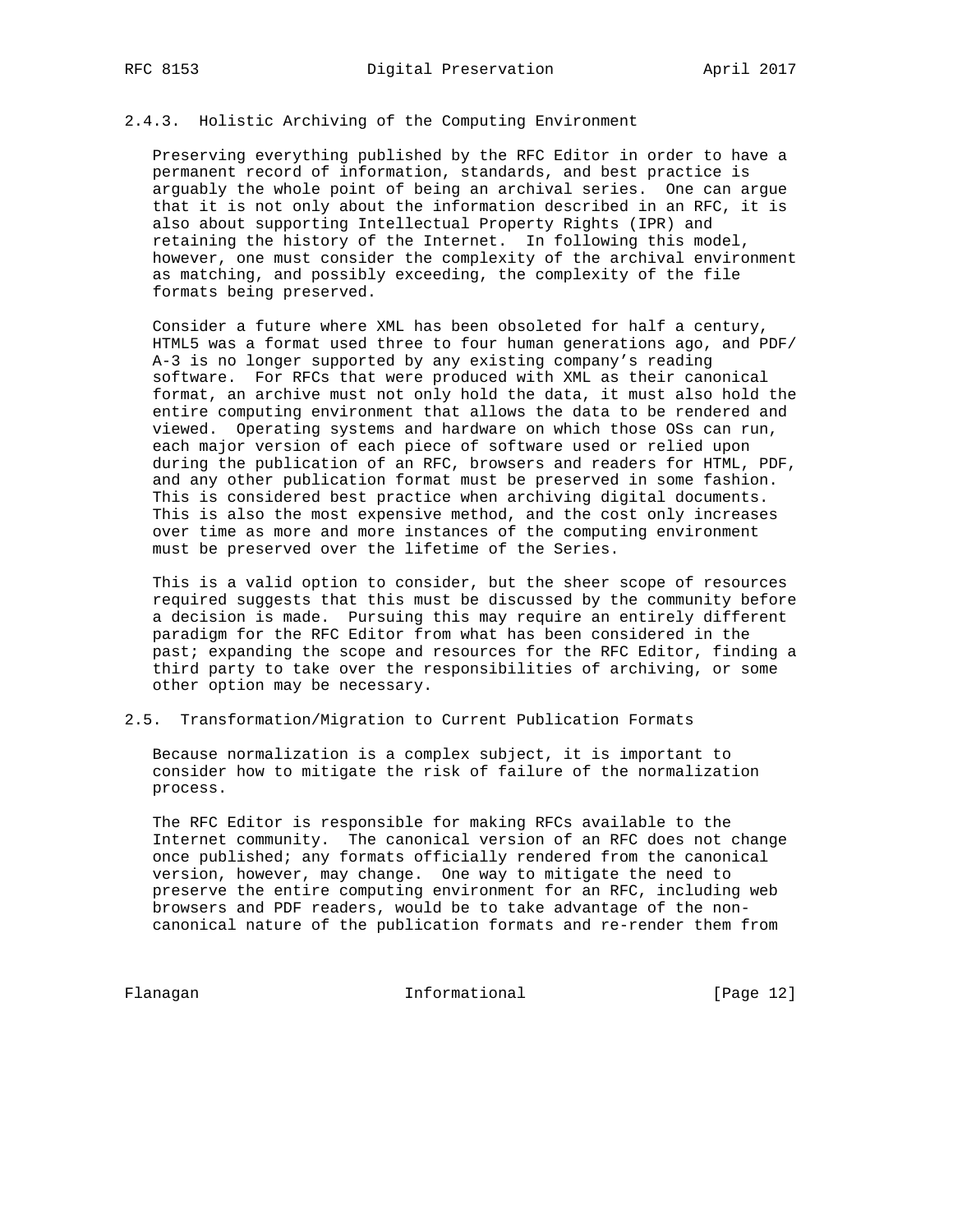### 2.4.3. Holistic Archiving of the Computing Environment

 Preserving everything published by the RFC Editor in order to have a permanent record of information, standards, and best practice is arguably the whole point of being an archival series. One can argue that it is not only about the information described in an RFC, it is also about supporting Intellectual Property Rights (IPR) and retaining the history of the Internet. In following this model, however, one must consider the complexity of the archival environment as matching, and possibly exceeding, the complexity of the file formats being preserved.

 Consider a future where XML has been obsoleted for half a century, HTML5 was a format used three to four human generations ago, and PDF/ A-3 is no longer supported by any existing company's reading software. For RFCs that were produced with XML as their canonical format, an archive must not only hold the data, it must also hold the entire computing environment that allows the data to be rendered and viewed. Operating systems and hardware on which those OSs can run, each major version of each piece of software used or relied upon during the publication of an RFC, browsers and readers for HTML, PDF, and any other publication format must be preserved in some fashion. This is considered best practice when archiving digital documents. This is also the most expensive method, and the cost only increases over time as more and more instances of the computing environment must be preserved over the lifetime of the Series.

 This is a valid option to consider, but the sheer scope of resources required suggests that this must be discussed by the community before a decision is made. Pursuing this may require an entirely different paradigm for the RFC Editor from what has been considered in the past; expanding the scope and resources for the RFC Editor, finding a third party to take over the responsibilities of archiving, or some other option may be necessary.

## 2.5. Transformation/Migration to Current Publication Formats

 Because normalization is a complex subject, it is important to consider how to mitigate the risk of failure of the normalization process.

 The RFC Editor is responsible for making RFCs available to the Internet community. The canonical version of an RFC does not change once published; any formats officially rendered from the canonical version, however, may change. One way to mitigate the need to preserve the entire computing environment for an RFC, including web browsers and PDF readers, would be to take advantage of the non canonical nature of the publication formats and re-render them from

Flanagan 10 Informational [Page 12]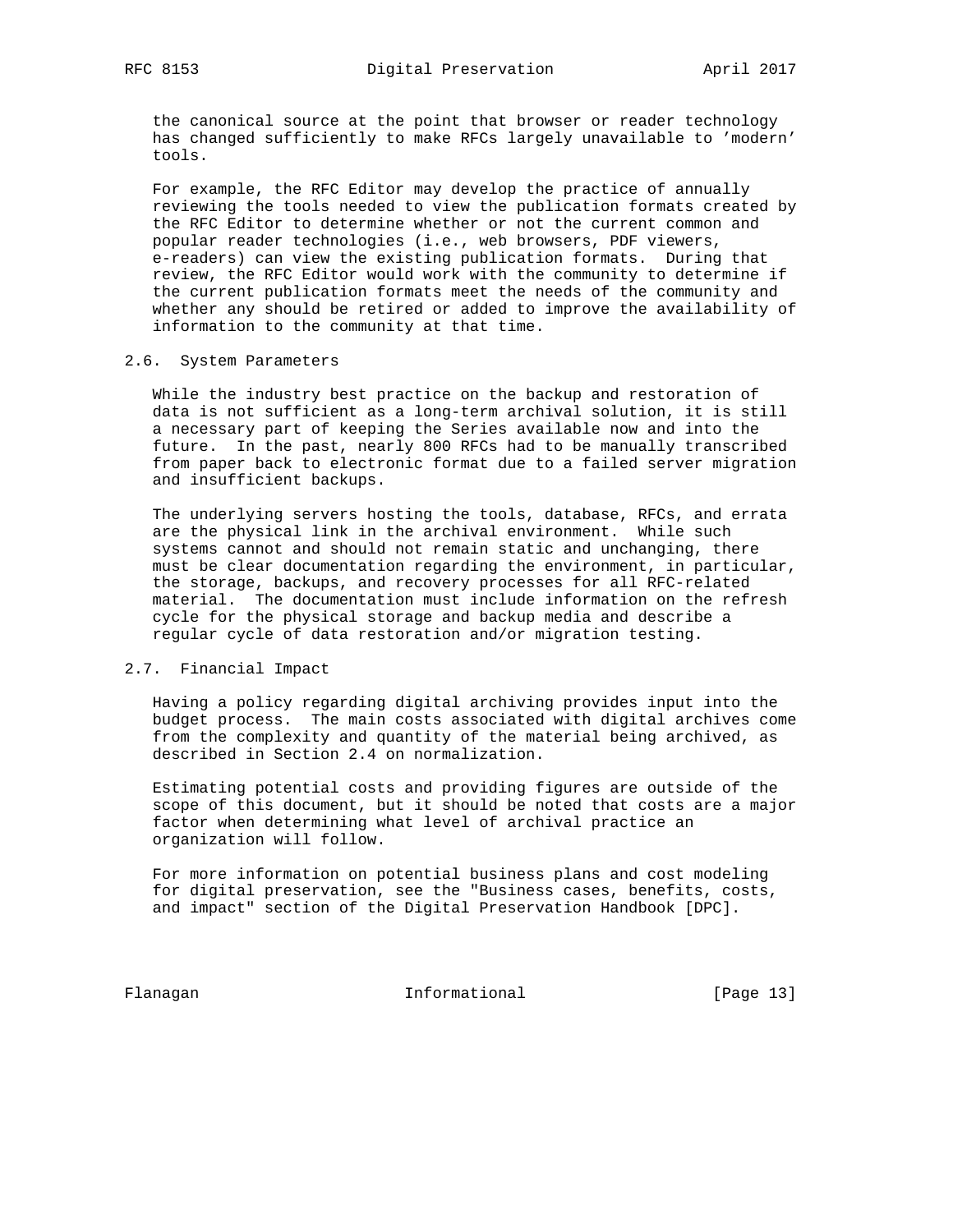the canonical source at the point that browser or reader technology has changed sufficiently to make RFCs largely unavailable to 'modern' tools.

 For example, the RFC Editor may develop the practice of annually reviewing the tools needed to view the publication formats created by the RFC Editor to determine whether or not the current common and popular reader technologies (i.e., web browsers, PDF viewers, e-readers) can view the existing publication formats. During that review, the RFC Editor would work with the community to determine if the current publication formats meet the needs of the community and whether any should be retired or added to improve the availability of information to the community at that time.

### 2.6. System Parameters

 While the industry best practice on the backup and restoration of data is not sufficient as a long-term archival solution, it is still a necessary part of keeping the Series available now and into the future. In the past, nearly 800 RFCs had to be manually transcribed from paper back to electronic format due to a failed server migration and insufficient backups.

 The underlying servers hosting the tools, database, RFCs, and errata are the physical link in the archival environment. While such systems cannot and should not remain static and unchanging, there must be clear documentation regarding the environment, in particular, the storage, backups, and recovery processes for all RFC-related material. The documentation must include information on the refresh cycle for the physical storage and backup media and describe a regular cycle of data restoration and/or migration testing.

## 2.7. Financial Impact

 Having a policy regarding digital archiving provides input into the budget process. The main costs associated with digital archives come from the complexity and quantity of the material being archived, as described in Section 2.4 on normalization.

 Estimating potential costs and providing figures are outside of the scope of this document, but it should be noted that costs are a major factor when determining what level of archival practice an organization will follow.

 For more information on potential business plans and cost modeling for digital preservation, see the "Business cases, benefits, costs, and impact" section of the Digital Preservation Handbook [DPC].

Flanagan 10 Informational [Page 13]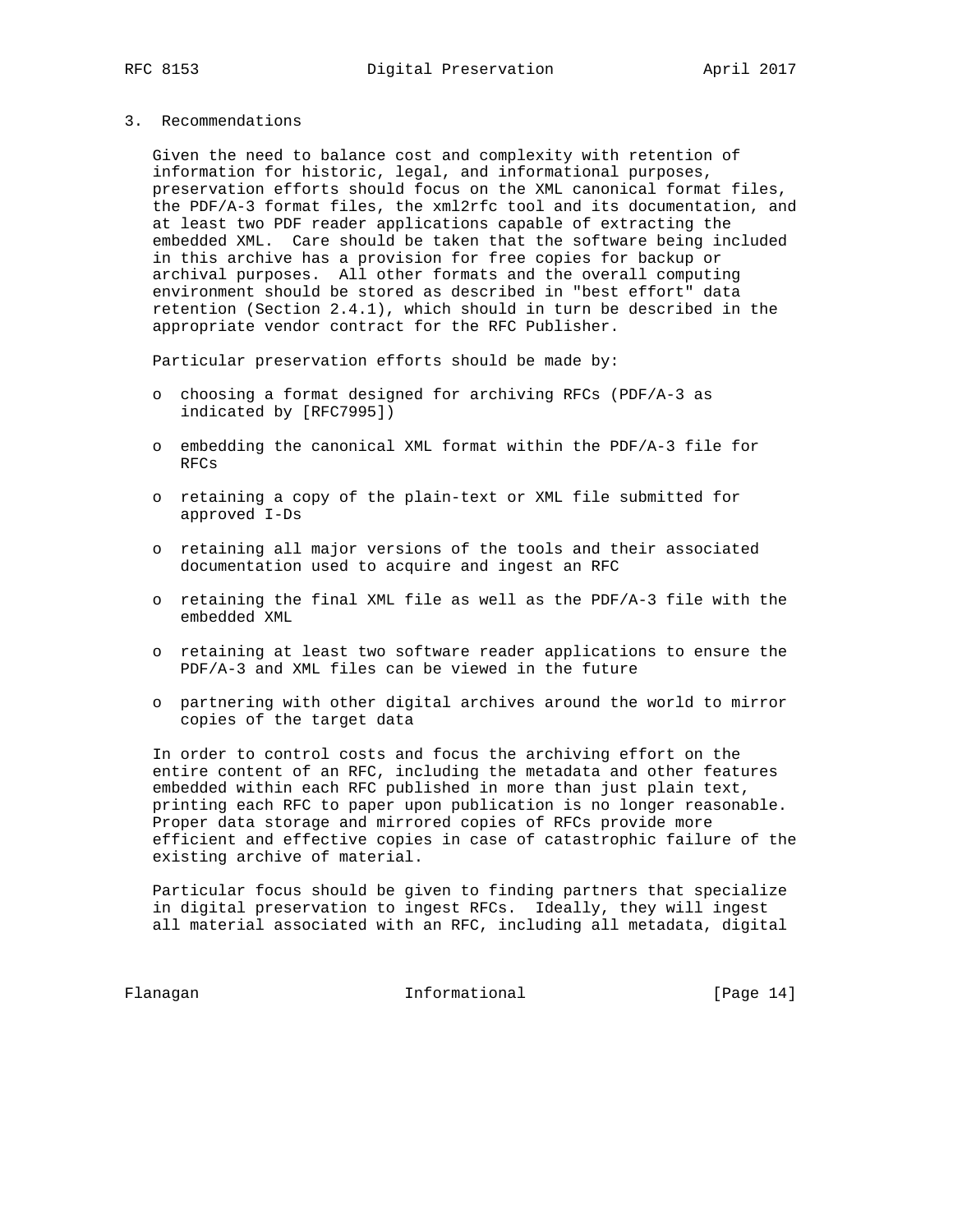3. Recommendations

 Given the need to balance cost and complexity with retention of information for historic, legal, and informational purposes, preservation efforts should focus on the XML canonical format files, the PDF/A-3 format files, the xml2rfc tool and its documentation, and at least two PDF reader applications capable of extracting the embedded XML. Care should be taken that the software being included in this archive has a provision for free copies for backup or archival purposes. All other formats and the overall computing environment should be stored as described in "best effort" data retention (Section 2.4.1), which should in turn be described in the appropriate vendor contract for the RFC Publisher.

Particular preservation efforts should be made by:

- o choosing a format designed for archiving RFCs (PDF/A-3 as indicated by [RFC7995])
- o embedding the canonical XML format within the PDF/A-3 file for RFCs
- o retaining a copy of the plain-text or XML file submitted for approved I-Ds
- o retaining all major versions of the tools and their associated documentation used to acquire and ingest an RFC
- o retaining the final XML file as well as the PDF/A-3 file with the embedded XML
- o retaining at least two software reader applications to ensure the PDF/A-3 and XML files can be viewed in the future
- o partnering with other digital archives around the world to mirror copies of the target data

 In order to control costs and focus the archiving effort on the entire content of an RFC, including the metadata and other features embedded within each RFC published in more than just plain text, printing each RFC to paper upon publication is no longer reasonable. Proper data storage and mirrored copies of RFCs provide more efficient and effective copies in case of catastrophic failure of the existing archive of material.

 Particular focus should be given to finding partners that specialize in digital preservation to ingest RFCs. Ideally, they will ingest all material associated with an RFC, including all metadata, digital

Flanagan 11 Informational [Page 14]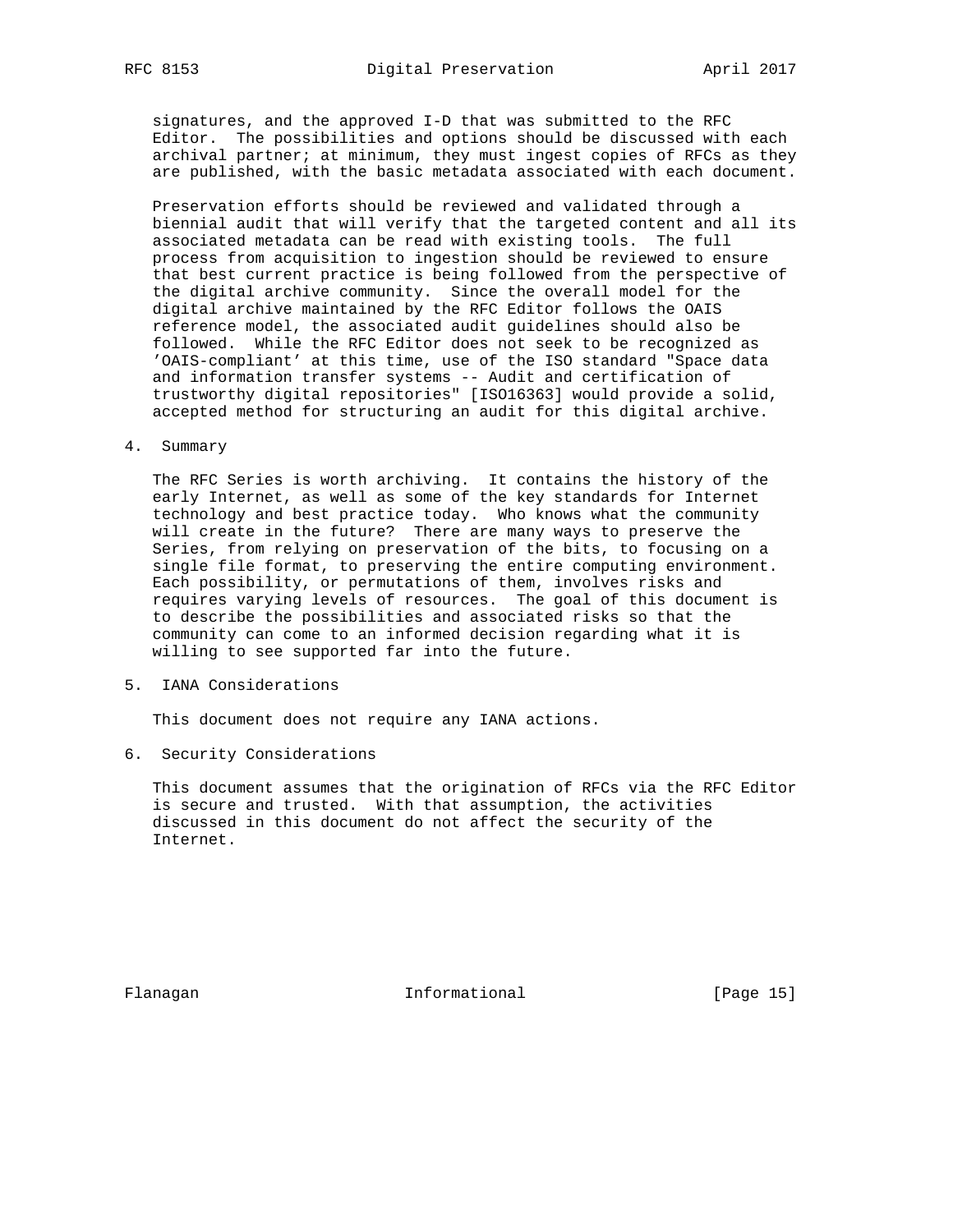signatures, and the approved I-D that was submitted to the RFC Editor. The possibilities and options should be discussed with each archival partner; at minimum, they must ingest copies of RFCs as they are published, with the basic metadata associated with each document.

 Preservation efforts should be reviewed and validated through a biennial audit that will verify that the targeted content and all its associated metadata can be read with existing tools. The full process from acquisition to ingestion should be reviewed to ensure that best current practice is being followed from the perspective of the digital archive community. Since the overall model for the digital archive maintained by the RFC Editor follows the OAIS reference model, the associated audit guidelines should also be followed. While the RFC Editor does not seek to be recognized as 'OAIS-compliant' at this time, use of the ISO standard "Space data and information transfer systems -- Audit and certification of trustworthy digital repositories" [ISO16363] would provide a solid, accepted method for structuring an audit for this digital archive.

4. Summary

 The RFC Series is worth archiving. It contains the history of the early Internet, as well as some of the key standards for Internet technology and best practice today. Who knows what the community will create in the future? There are many ways to preserve the Series, from relying on preservation of the bits, to focusing on a single file format, to preserving the entire computing environment. Each possibility, or permutations of them, involves risks and requires varying levels of resources. The goal of this document is to describe the possibilities and associated risks so that the community can come to an informed decision regarding what it is willing to see supported far into the future.

5. IANA Considerations

This document does not require any IANA actions.

6. Security Considerations

 This document assumes that the origination of RFCs via the RFC Editor is secure and trusted. With that assumption, the activities discussed in this document do not affect the security of the Internet.

Flanagan 15 Informational 1999 [Page 15]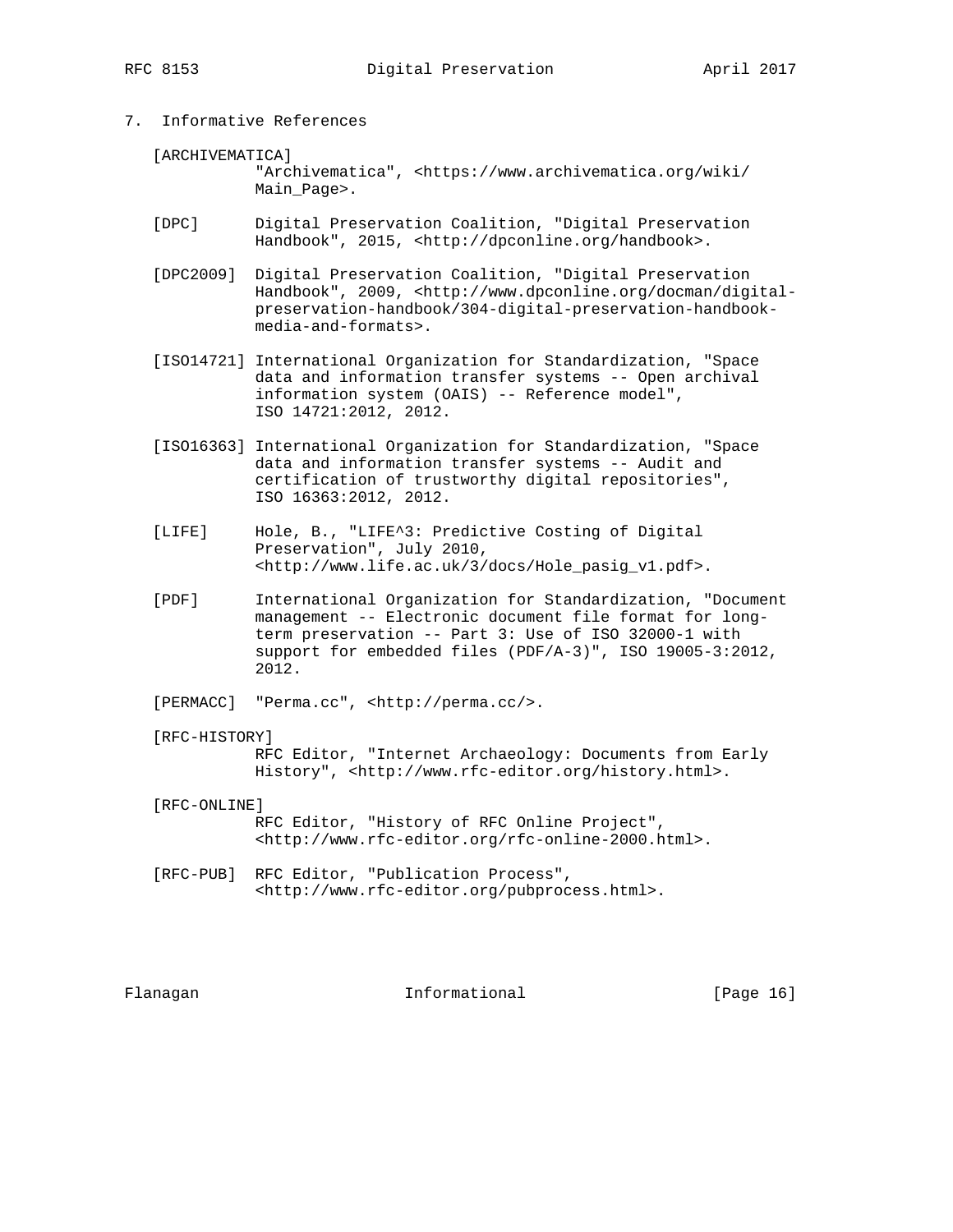- 7. Informative References
	- [ARCHIVEMATICA]

 "Archivematica", <https://www.archivematica.org/wiki/ Main\_Page>.

- [DPC] Digital Preservation Coalition, "Digital Preservation Handbook", 2015, <http://dpconline.org/handbook>.
- [DPC2009] Digital Preservation Coalition, "Digital Preservation Handbook", 2009, <http://www.dpconline.org/docman/digital preservation-handbook/304-digital-preservation-handbook media-and-formats>.
- [ISO14721] International Organization for Standardization, "Space data and information transfer systems -- Open archival information system (OAIS) -- Reference model", ISO 14721:2012, 2012.
- [ISO16363] International Organization for Standardization, "Space data and information transfer systems -- Audit and certification of trustworthy digital repositories", ISO 16363:2012, 2012.
- [LIFE] Hole, B., "LIFE^3: Predictive Costing of Digital Preservation", July 2010, <http://www.life.ac.uk/3/docs/Hole\_pasig\_v1.pdf>.
- [PDF] International Organization for Standardization, "Document management -- Electronic document file format for long term preservation -- Part 3: Use of ISO 32000-1 with support for embedded files (PDF/A-3)", ISO 19005-3:2012, 2012.

[PERMACC] "Perma.cc", <http://perma.cc/>.

[RFC-HISTORY]

 RFC Editor, "Internet Archaeology: Documents from Early History", <http://www.rfc-editor.org/history.html>.

- [RFC-ONLINE] RFC Editor, "History of RFC Online Project", <http://www.rfc-editor.org/rfc-online-2000.html>.
- [RFC-PUB] RFC Editor, "Publication Process", <http://www.rfc-editor.org/pubprocess.html>.

Flanagan **Informational** [Page 16]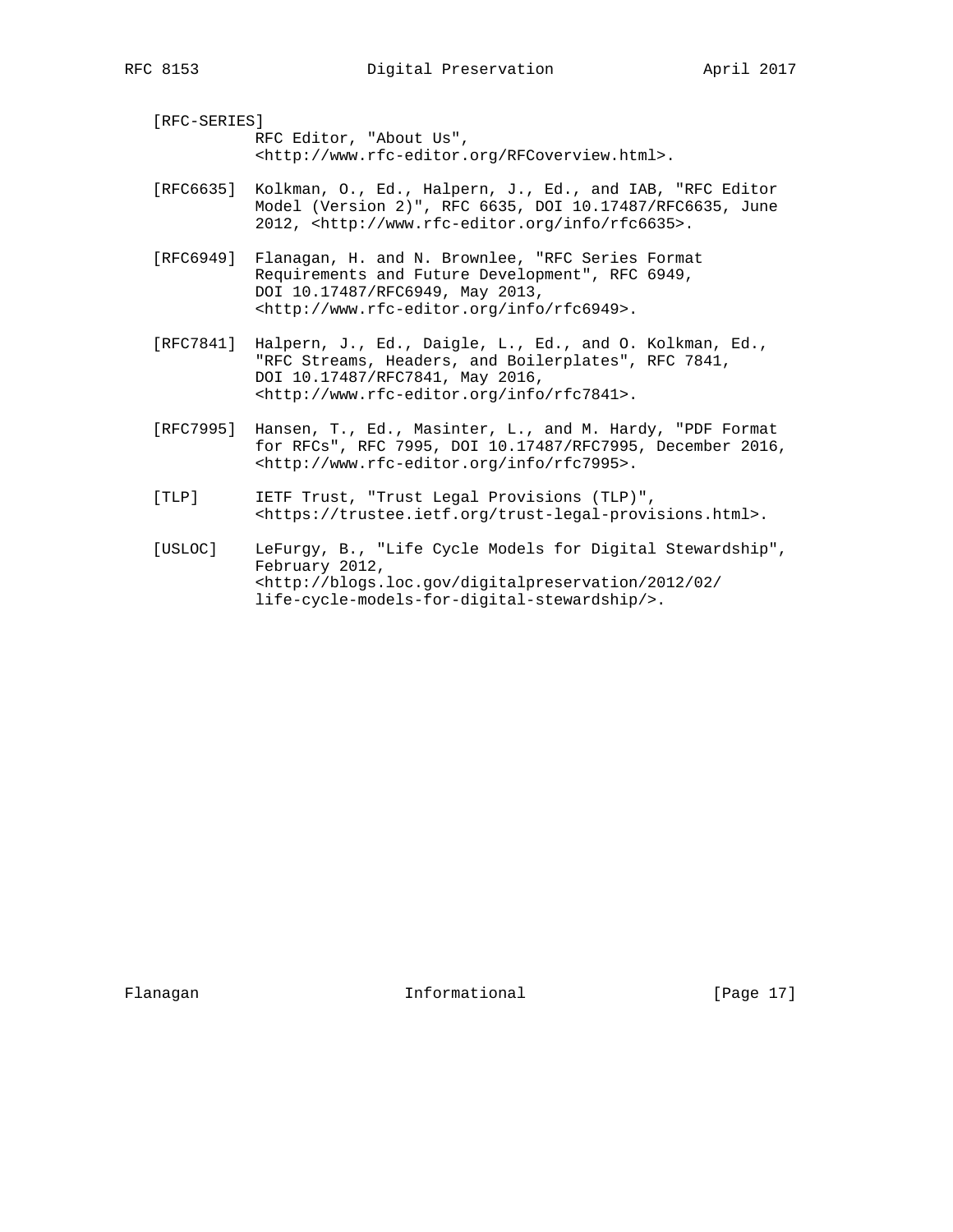[RFC-SERIES] RFC Editor, "About Us", <http://www.rfc-editor.org/RFCoverview.html>.

- [RFC6635] Kolkman, O., Ed., Halpern, J., Ed., and IAB, "RFC Editor Model (Version 2)", RFC 6635, DOI 10.17487/RFC6635, June 2012, <http://www.rfc-editor.org/info/rfc6635>.
- [RFC6949] Flanagan, H. and N. Brownlee, "RFC Series Format Requirements and Future Development", RFC 6949, DOI 10.17487/RFC6949, May 2013, <http://www.rfc-editor.org/info/rfc6949>.
- [RFC7841] Halpern, J., Ed., Daigle, L., Ed., and O. Kolkman, Ed., "RFC Streams, Headers, and Boilerplates", RFC 7841, DOI 10.17487/RFC7841, May 2016, <http://www.rfc-editor.org/info/rfc7841>.
- [RFC7995] Hansen, T., Ed., Masinter, L., and M. Hardy, "PDF Format for RFCs", RFC 7995, DOI 10.17487/RFC7995, December 2016, <http://www.rfc-editor.org/info/rfc7995>.
- [TLP] IETF Trust, "Trust Legal Provisions (TLP)", <https://trustee.ietf.org/trust-legal-provisions.html>.
- [USLOC] LeFurgy, B., "Life Cycle Models for Digital Stewardship", February 2012, <http://blogs.loc.gov/digitalpreservation/2012/02/ life-cycle-models-for-digital-stewardship/>.

Flanagan **Informational** [Page 17]